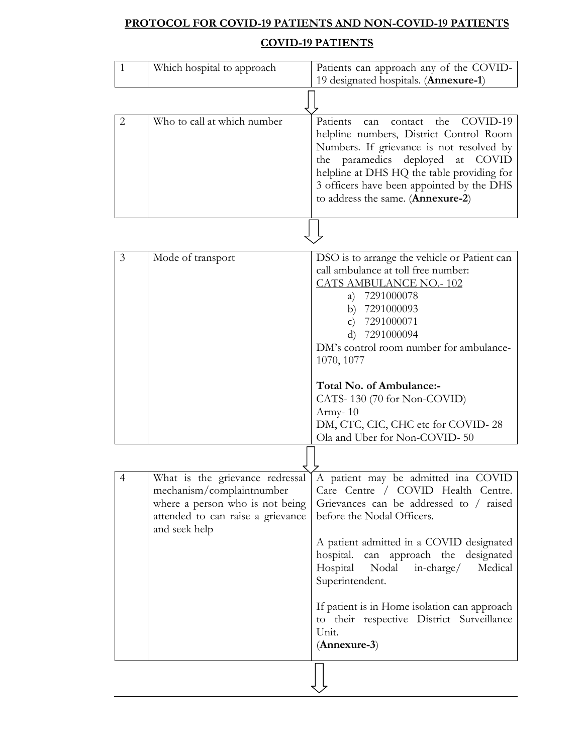# **PROTOCOL FOR COVID-19 PATIENTS AND NON-COVID-19 PATIENTS**

### **COVID-19 PATIENTS**

| $\mathbf{1}$   | Which hospital to approach                                                                                                                            | Patients can approach any of the COVID-<br>19 designated hospitals. (Annexure-1)                                                                                                                                                                                                                                                                                                                                              |
|----------------|-------------------------------------------------------------------------------------------------------------------------------------------------------|-------------------------------------------------------------------------------------------------------------------------------------------------------------------------------------------------------------------------------------------------------------------------------------------------------------------------------------------------------------------------------------------------------------------------------|
|                |                                                                                                                                                       |                                                                                                                                                                                                                                                                                                                                                                                                                               |
| $\overline{2}$ | Who to call at which number                                                                                                                           | Patients<br>COVID-19<br>the<br>contact<br>can<br>helpline numbers, District Control Room<br>Numbers. If grievance is not resolved by<br>the paramedics deployed at<br><b>COVID</b><br>helpline at DHS HQ the table providing for<br>3 officers have been appointed by the DHS<br>to address the same. (Annexure-2)                                                                                                            |
|                |                                                                                                                                                       |                                                                                                                                                                                                                                                                                                                                                                                                                               |
| 3              | Mode of transport                                                                                                                                     | DSO is to arrange the vehicle or Patient can<br>call ambulance at toll free number:<br><b>CATS AMBULANCE NO.-102</b><br>a) 7291000078<br>b) 7291000093<br>7291000071<br>$\mathbf{C}$<br>7291000094<br>d)<br>DM's control room number for ambulance-<br>1070, 1077<br>Total No. of Ambulance:-<br>CATS-130 (70 for Non-COVID)                                                                                                  |
|                |                                                                                                                                                       | Army- $10$<br>DM, CTC, CIC, CHC etc for COVID-28<br>Ola and Uber for Non-COVID-50                                                                                                                                                                                                                                                                                                                                             |
|                |                                                                                                                                                       |                                                                                                                                                                                                                                                                                                                                                                                                                               |
| 4              | What is the grievance redressal<br>mechanism/complaintnumber<br>where a person who is not being<br>attended to can raise a grievance<br>and seek help | A patient may be admitted ina COVID<br>Care Centre / COVID Health Centre.<br>Grievances can be addressed to / raised<br>before the Nodal Officers.<br>A patient admitted in a COVID designated<br>hospital. can approach the designated<br>Hospital<br>Nodal<br>incharge/<br>Medical<br>Superintendent.<br>If patient is in Home isolation can approach<br>to their respective District Surveillance<br>Unit.<br>(Annexure-3) |
|                |                                                                                                                                                       |                                                                                                                                                                                                                                                                                                                                                                                                                               |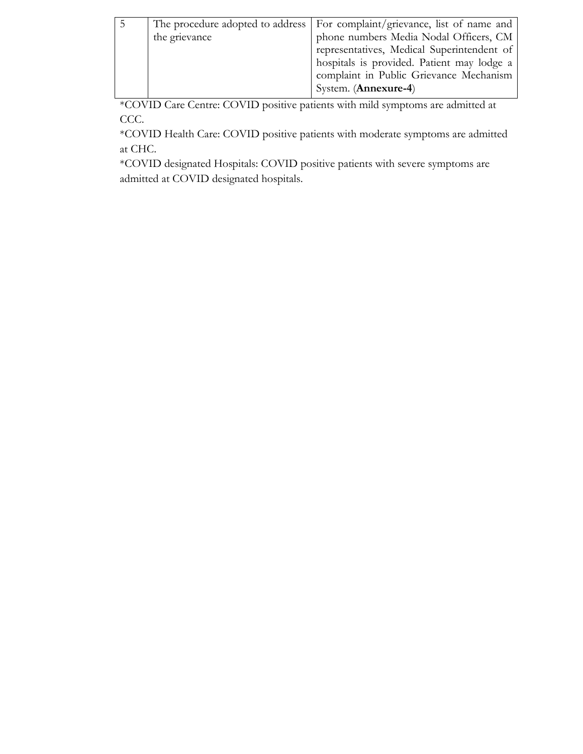|               | The procedure adopted to address   For complaint/grievance, list of name and |
|---------------|------------------------------------------------------------------------------|
| the grievance | phone numbers Media Nodal Officers, CM                                       |
|               | representatives, Medical Superintendent of                                   |
|               | hospitals is provided. Patient may lodge a                                   |
|               | complaint in Public Grievance Mechanism                                      |
|               | System. ( <b>Annexure-4</b> )                                                |
|               |                                                                              |

\*COVID Care Centre: COVID positive patients with mild symptoms are admitted at CCC.

\*COVID Health Care: COVID positive patients with moderate symptoms are admitted at CHC.

\*COVID designated Hospitals: COVID positive patients with severe symptoms are admitted at COVID designated hospitals.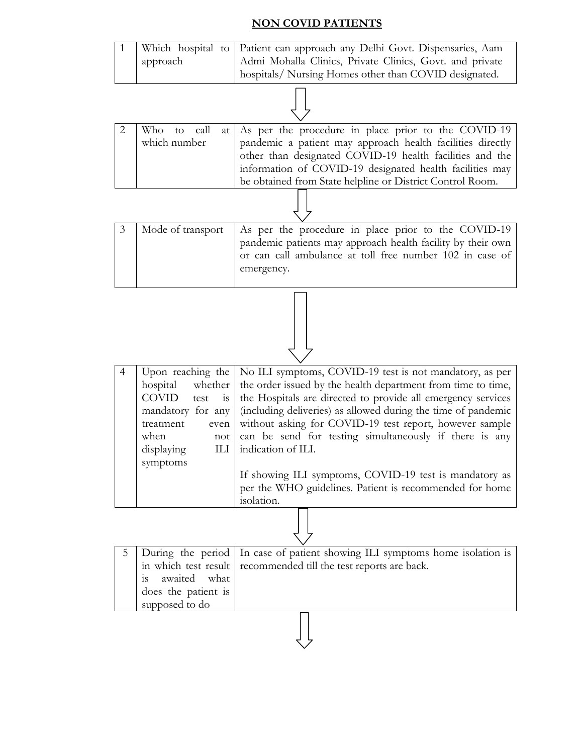#### **NON COVID PATIENTS**

|  |          | Which hospital to   Patient can approach any Delhi Govt. Dispensaries, Aam |
|--|----------|----------------------------------------------------------------------------|
|  | approach | Admi Mohalla Clinics, Private Clinics, Govt. and private                   |
|  |          | hospitals/ Nursing Homes other than COVID designated.                      |

|              |  |  |  | Who to call at As per the procedure in place prior to the COVID-19 |  |
|--------------|--|--|--|--------------------------------------------------------------------|--|
| which number |  |  |  | pandemic a patient may approach health facilities directly         |  |
|              |  |  |  | other than designated COVID-19 health facilities and the           |  |
|              |  |  |  | information of COVID-19 designated health facilities may           |  |
|              |  |  |  | be obtained from State helpline or District Control Room.          |  |
|              |  |  |  |                                                                    |  |

3 | Mode of transport | As per the procedure in place prior to the COVID-19 pandemic patients may approach health facility by their own or can call ambulance at toll free number 102 in case of emergency.

|              |                | Upon reaching the   No ILI symptoms, COVID-19 test is not mandatory, as per       |
|--------------|----------------|-----------------------------------------------------------------------------------|
|              |                | hospital whether the order issued by the health department from time to time,     |
| <b>COVID</b> | test is        | the Hospitals are directed to provide all emergency services                      |
|              |                | mandatory for any   (including deliveries) as allowed during the time of pandemic |
| treatment    | even           | without asking for COVID-19 test report, however sample                           |
| when         | not            | can be send for testing simultaneously if there is any                            |
| displaying   | $\rm{H}\rm{H}$ | indication of ILI.                                                                |
| symptoms     |                |                                                                                   |
|              |                | If showing ILI symptoms, COVID-19 test is mandatory as                            |
|              |                | per the WHO guidelines. Patient is recommended for home                           |
|              |                | isolation.                                                                        |

|                     | 5   During the period   In case of patient showing ILI symptoms home isolation is |  |  |  |  |
|---------------------|-----------------------------------------------------------------------------------|--|--|--|--|
|                     | in which test result recommended till the test reports are back.                  |  |  |  |  |
| is awaited what     |                                                                                   |  |  |  |  |
| does the patient is |                                                                                   |  |  |  |  |
| supposed to do      |                                                                                   |  |  |  |  |
|                     |                                                                                   |  |  |  |  |

 $\overline{z}$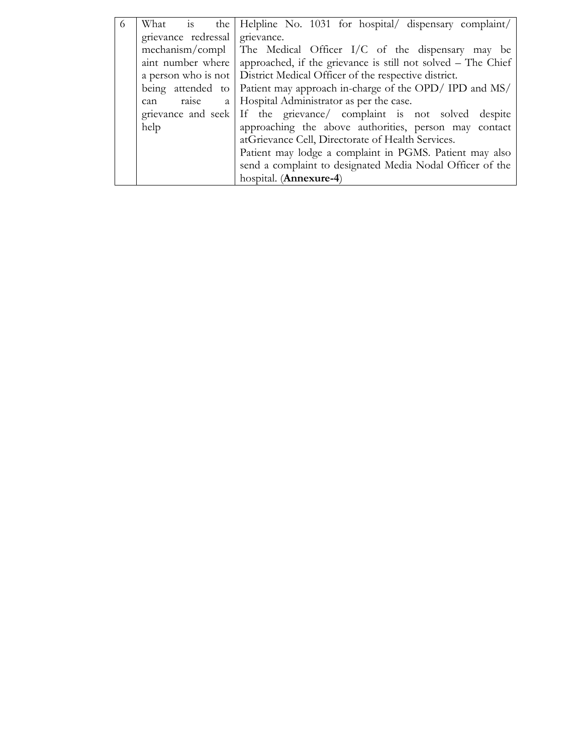| 6 |                                                         | What is the Helpline No. 1031 for hospital/ dispensary complaint/              |  |
|---|---------------------------------------------------------|--------------------------------------------------------------------------------|--|
|   | grievance redressal grievance.                          |                                                                                |  |
|   |                                                         | mechanism/compl The Medical Officer I/C of the dispensary may be               |  |
|   |                                                         | aint number where approached, if the grievance is still not solved – The Chief |  |
|   |                                                         | a person who is not   District Medical Officer of the respective district.     |  |
|   |                                                         | being attended to Patient may approach in-charge of the OPD/ IPD and $MS/$     |  |
|   | raise<br>a l<br>can                                     | Hospital Administrator as per the case.                                        |  |
|   |                                                         | grievance and seek If the grievance complaint is not solved despite            |  |
|   | help                                                    | approaching the above authorities, person may contact                          |  |
|   |                                                         | atGrievance Cell, Directorate of Health Services.                              |  |
|   | Patient may lodge a complaint in PGMS. Patient may also |                                                                                |  |
|   |                                                         | send a complaint to designated Media Nodal Officer of the                      |  |
|   |                                                         | hospital. (Annexure-4)                                                         |  |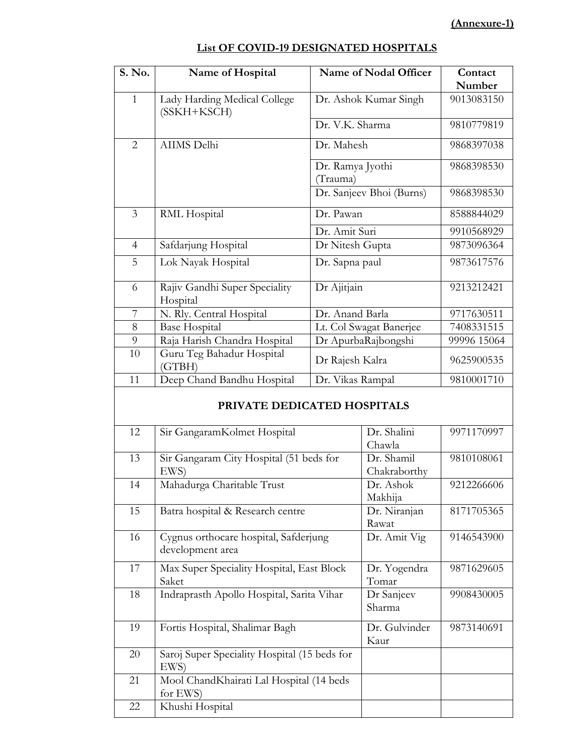#### **(Annexure-1)**

| Number<br>$\mathbf{1}$<br>9013083150<br>Lady Harding Medical College<br>Dr. Ashok Kumar Singh<br>(SSKH+KSCH)<br>Dr. V.K. Sharma<br>9810779819<br>$\overline{2}$<br>AIIMS Delhi<br>Dr. Mahesh<br>9868397038<br>Dr. Ramya Jyothi<br>9868398530<br>(Trauma)<br>Dr. Sanjeev Bhoi (Burns)<br>9868398530<br>3<br>RML Hospital<br>Dr. Pawan<br>8588844029<br>Dr. Amit Suri<br>9910568929<br>$\overline{4}$<br>Safdarjung Hospital<br>Dr Nitesh Gupta<br>9873096364<br>5<br>Lok Nayak Hospital<br>9873617576<br>Dr. Sapna paul<br>Dr Ajitjain<br>Rajiv Gandhi Super Speciality<br>9213212421<br>6<br>Hospital<br>7<br>N. Rly. Central Hospital<br>Dr. Anand Barla<br>9717630511<br>8<br><b>Base Hospital</b><br>Lt. Col Swagat Banerjee<br>7408331515<br>9<br>Raja Harish Chandra Hospital<br>Dr ApurbaRajbongshi<br>99996 15064<br>Guru Teg Bahadur Hospital<br>10<br>Dr Rajesh Kalra<br>9625900535<br>(GTBH)<br>Deep Chand Bandhu Hospital<br>11<br>Dr. Vikas Rampal<br>9810001710 | S. No. | Name of Hospital | Name of Nodal Officer | Contact |
|------------------------------------------------------------------------------------------------------------------------------------------------------------------------------------------------------------------------------------------------------------------------------------------------------------------------------------------------------------------------------------------------------------------------------------------------------------------------------------------------------------------------------------------------------------------------------------------------------------------------------------------------------------------------------------------------------------------------------------------------------------------------------------------------------------------------------------------------------------------------------------------------------------------------------------------------------------------------------|--------|------------------|-----------------------|---------|
|                                                                                                                                                                                                                                                                                                                                                                                                                                                                                                                                                                                                                                                                                                                                                                                                                                                                                                                                                                              |        |                  |                       |         |
|                                                                                                                                                                                                                                                                                                                                                                                                                                                                                                                                                                                                                                                                                                                                                                                                                                                                                                                                                                              |        |                  |                       |         |
|                                                                                                                                                                                                                                                                                                                                                                                                                                                                                                                                                                                                                                                                                                                                                                                                                                                                                                                                                                              |        |                  |                       |         |
|                                                                                                                                                                                                                                                                                                                                                                                                                                                                                                                                                                                                                                                                                                                                                                                                                                                                                                                                                                              |        |                  |                       |         |
|                                                                                                                                                                                                                                                                                                                                                                                                                                                                                                                                                                                                                                                                                                                                                                                                                                                                                                                                                                              |        |                  |                       |         |
|                                                                                                                                                                                                                                                                                                                                                                                                                                                                                                                                                                                                                                                                                                                                                                                                                                                                                                                                                                              |        |                  |                       |         |
|                                                                                                                                                                                                                                                                                                                                                                                                                                                                                                                                                                                                                                                                                                                                                                                                                                                                                                                                                                              |        |                  |                       |         |
|                                                                                                                                                                                                                                                                                                                                                                                                                                                                                                                                                                                                                                                                                                                                                                                                                                                                                                                                                                              |        |                  |                       |         |
|                                                                                                                                                                                                                                                                                                                                                                                                                                                                                                                                                                                                                                                                                                                                                                                                                                                                                                                                                                              |        |                  |                       |         |
|                                                                                                                                                                                                                                                                                                                                                                                                                                                                                                                                                                                                                                                                                                                                                                                                                                                                                                                                                                              |        |                  |                       |         |
|                                                                                                                                                                                                                                                                                                                                                                                                                                                                                                                                                                                                                                                                                                                                                                                                                                                                                                                                                                              |        |                  |                       |         |
|                                                                                                                                                                                                                                                                                                                                                                                                                                                                                                                                                                                                                                                                                                                                                                                                                                                                                                                                                                              |        |                  |                       |         |
|                                                                                                                                                                                                                                                                                                                                                                                                                                                                                                                                                                                                                                                                                                                                                                                                                                                                                                                                                                              |        |                  |                       |         |
|                                                                                                                                                                                                                                                                                                                                                                                                                                                                                                                                                                                                                                                                                                                                                                                                                                                                                                                                                                              |        |                  |                       |         |
|                                                                                                                                                                                                                                                                                                                                                                                                                                                                                                                                                                                                                                                                                                                                                                                                                                                                                                                                                                              |        |                  |                       |         |
|                                                                                                                                                                                                                                                                                                                                                                                                                                                                                                                                                                                                                                                                                                                                                                                                                                                                                                                                                                              |        |                  |                       |         |

#### **List OF COVID-19 DESIGNATED HOSPITALS**

#### **PRIVATE DEDICATED HOSPITALS**

| 12 | Sir GangaramKolmet Hospital                  | Dr. Shalini   | 9971170997 |
|----|----------------------------------------------|---------------|------------|
|    |                                              | Chawla        |            |
| 13 | Sir Gangaram City Hospital (51 beds for      | Dr. Shamil    | 9810108061 |
|    | EWS)                                         | Chakraborthy  |            |
| 14 | Mahadurga Charitable Trust                   | Dr. Ashok     | 9212266606 |
|    |                                              | Makhija       |            |
| 15 | Batra hospital & Research centre             | Dr. Niranjan  | 8171705365 |
|    |                                              | Rawat         |            |
| 16 | Cygnus orthocare hospital, Safderjung        | Dr. Amit Vig  | 9146543900 |
|    | development area                             |               |            |
| 17 | Max Super Speciality Hospital, East Block    | Dr. Yogendra  | 9871629605 |
|    | Saket                                        | Tomar         |            |
| 18 | Indraprasth Apollo Hospital, Sarita Vihar    | Dr Sanjeev    | 9908430005 |
|    |                                              | Sharma        |            |
|    |                                              |               |            |
| 19 | Fortis Hospital, Shalimar Bagh               | Dr. Gulvinder | 9873140691 |
|    |                                              | Kaur          |            |
| 20 | Saroj Super Speciality Hospital (15 beds for |               |            |
|    | EWS)                                         |               |            |
| 21 | Mool ChandKhairati Lal Hospital (14 beds     |               |            |
|    | for EWS)                                     |               |            |
| 22 | Khushi Hospital                              |               |            |
|    |                                              |               |            |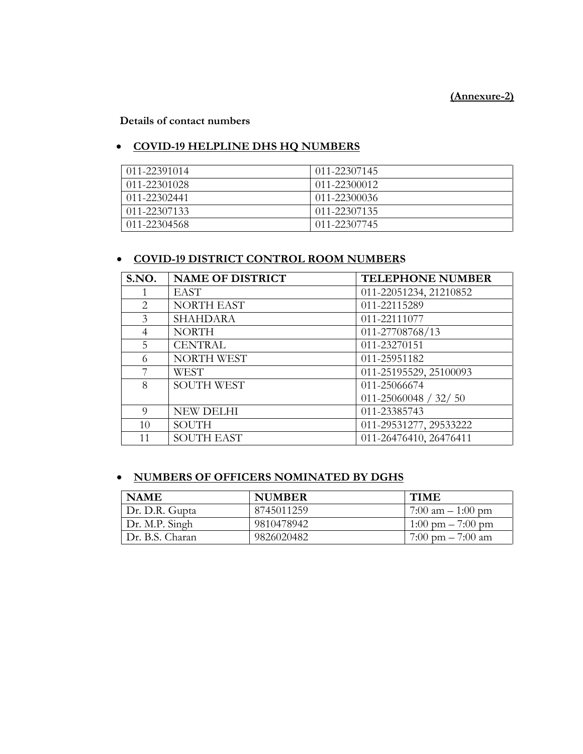#### **(Annexure-2)**

**Details of contact numbers**

#### **COVID-19 HELPLINE DHS HQ NUMBERS**

| 011-22391014 | 011-22307145      |
|--------------|-------------------|
| 011-22301028 | 011-22300012      |
| 011-22302441 | $(11 - 22300036)$ |
| 011-22307133 | 011-22307135      |
| 011-22304568 | 011-22307745      |

#### **COVID-19 DISTRICT CONTROL ROOM NUMBERS**

| S.NO.          | <b>NAME OF DISTRICT</b>               | <b>TELEPHONE NUMBER</b>    |
|----------------|---------------------------------------|----------------------------|
|                | <b>EAST</b>                           | 011-22051234, 21210852     |
| 2              | NORTH EAST                            | 011-22115289               |
| 3              | <b>SHAHDARA</b>                       | 011-22111077               |
| $\overline{4}$ | <b>NORTH</b>                          | 011-27708768/13            |
| 5              | <b>CENTRAL</b>                        | 011-23270151               |
| 6              | NORTH WEST<br>011-25951182            |                            |
| 7              | <b>WEST</b><br>011-25195529, 25100093 |                            |
| 8              | <b>SOUTH WEST</b><br>011-25066674     |                            |
|                |                                       | $011 - 25060048 / 32 / 50$ |
| $\Omega$       | <b>NEW DELHI</b>                      | 011-23385743               |
| 10             | <b>SOUTH</b>                          | 011-29531277, 29533222     |
| 11             | <b>SOUTH EAST</b>                     | 011-26476410, 26476411     |

#### **NUMBERS OF OFFICERS NOMINATED BY DGHS**

| <b>NAME</b>      | <b>NUMBER</b> | <b>TIME</b>                         |
|------------------|---------------|-------------------------------------|
| Dr. D.R. Gupta   | 8745011259    | $7:00 \text{ am} - 1:00 \text{ pm}$ |
| $Dr. M.P.$ Singh | 9810478942    | $1:00 \text{ pm} - 7:00 \text{ pm}$ |
| Dr. B.S. Charan  | 9826020482    | 7:00 pm $-$ 7:00 am                 |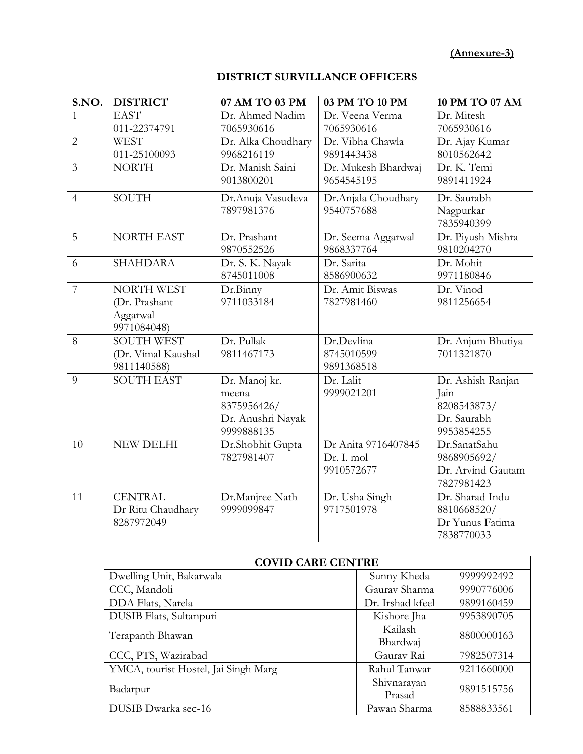**(Annexure-3)**

#### **DISTRICT SURVILLANCE OFFICERS**

| S.NO.          | <b>DISTRICT</b>    | 07 AM TO 03 PM     | 03 PM TO 10 PM      | <b>10 PM TO 07 AM</b> |
|----------------|--------------------|--------------------|---------------------|-----------------------|
| $\mathbf{1}$   | <b>EAST</b>        | Dr. Ahmed Nadim    | Dr. Veena Verma     | Dr. Mitesh            |
|                | 011-22374791       | 7065930616         | 7065930616          | 7065930616            |
| $\overline{2}$ | <b>WEST</b>        | Dr. Alka Choudhary | Dr. Vibha Chawla    | Dr. Ajay Kumar        |
|                | 011-25100093       | 9968216119         | 9891443438          | 8010562642            |
| $\overline{3}$ | <b>NORTH</b>       | Dr. Manish Saini   | Dr. Mukesh Bhardwaj | Dr. K. Temi           |
|                |                    | 9013800201         | 9654545195          | 9891411924            |
| $\overline{4}$ | <b>SOUTH</b>       | Dr.Anuja Vasudeva  | Dr.Anjala Choudhary | Dr. Saurabh           |
|                |                    | 7897981376         | 9540757688          | Nagpurkar             |
|                |                    |                    |                     | 7835940399            |
| 5              | <b>NORTH EAST</b>  | Dr. Prashant       | Dr. Seema Aggarwal  | Dr. Piyush Mishra     |
|                |                    | 9870552526         | 9868337764          | 9810204270            |
| 6              | <b>SHAHDARA</b>    | Dr. S. K. Nayak    | Dr. Sarita          | Dr. Mohit             |
|                |                    | 8745011008         | 8586900632          | 9971180846            |
| $\overline{7}$ | <b>NORTH WEST</b>  | Dr.Binny           | Dr. Amit Biswas     | Dr. Vinod             |
|                | (Dr. Prashant      | 9711033184         | 7827981460          | 9811256654            |
|                | Aggarwal           |                    |                     |                       |
|                | 9971084048)        |                    |                     |                       |
| 8              | <b>SOUTH WEST</b>  | Dr. Pullak         | Dr.Devlina          | Dr. Anjum Bhutiya     |
|                | (Dr. Vimal Kaushal | 9811467173         | 8745010599          | 7011321870            |
|                | 9811140588)        |                    | 9891368518          |                       |
| 9              | <b>SOUTH EAST</b>  | Dr. Manoj kr.      | Dr. Lalit           | Dr. Ashish Ranjan     |
|                |                    | meena              | 9999021201          | Jain                  |
|                |                    | 8375956426/        |                     | 8208543873/           |
|                |                    | Dr. Anushri Nayak  |                     | Dr. Saurabh           |
|                |                    | 9999888135         |                     | 9953854255            |
| 10             | <b>NEW DELHI</b>   | Dr.Shobhit Gupta   | Dr Anita 9716407845 | Dr.SanatSahu          |
|                |                    | 7827981407         | Dr. I. mol          | 9868905692/           |
|                |                    |                    | 9910572677          | Dr. Arvind Gautam     |
|                |                    |                    |                     | 7827981423            |
| 11             | <b>CENTRAL</b>     | Dr.Manjree Nath    | Dr. Usha Singh      | Dr. Sharad Indu       |
|                | Dr Ritu Chaudhary  | 9999099847         | 9717501978          | 8810668520/           |
|                | 8287972049         |                    |                     | Dr Yunus Fatima       |
|                |                    |                    |                     | 7838770033            |

| <b>COVID CARE CENTRE</b>             |                  |            |  |
|--------------------------------------|------------------|------------|--|
| Dwelling Unit, Bakarwala             | Sunny Kheda      | 9999992492 |  |
| CCC, Mandoli                         | Gauray Sharma    | 9990776006 |  |
| DDA Flats, Narela                    | Dr. Irshad kfeel | 9899160459 |  |
| DUSIB Flats, Sultanpuri              | Kishore Jha      | 9953890705 |  |
|                                      | Kailash          | 8800000163 |  |
| Terapanth Bhawan                     | Bhardwaj         |            |  |
| CCC, PTS, Wazirabad                  | Gaurav Rai       | 7982507314 |  |
| YMCA, tourist Hostel, Jai Singh Marg | Rahul Tanwar     | 9211660000 |  |
|                                      | Shivnarayan      | 9891515756 |  |
| Badarpur                             | Prasad           |            |  |
| DUSIB Dwarka sec-16                  | Pawan Sharma     | 8588833561 |  |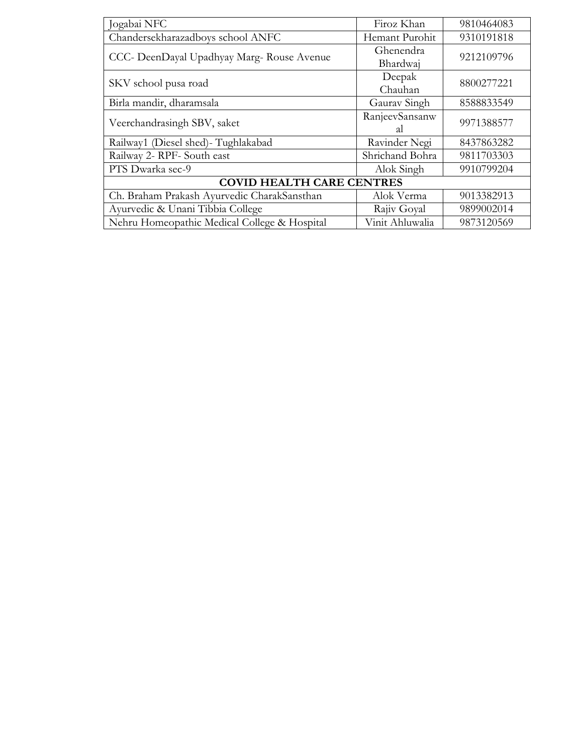| Jogabai NFC                                  | Firoz Khan      | 9810464083 |  |
|----------------------------------------------|-----------------|------------|--|
| Chandersekharazadboys school ANFC            | Hemant Purohit  | 9310191818 |  |
|                                              | Ghenendra       | 9212109796 |  |
| CCC- DeenDayal Upadhyay Marg-Rouse Avenue    | Bhardwaj        |            |  |
| SKV school pusa road                         | Deepak          | 8800277221 |  |
|                                              | Chauhan         |            |  |
| Birla mandir, dharamsala                     | Gaurav Singh    | 8588833549 |  |
| Veerchandrasingh SBV, saket                  | RanjeevSansanw  | 9971388577 |  |
|                                              | <sub>al</sub>   |            |  |
| Railway1 (Diesel shed) - Tughlakabad         | Ravinder Negi   | 8437863282 |  |
| Railway 2- RPF- South east                   | Shrichand Bohra | 9811703303 |  |
| PTS Dwarka sec-9                             | Alok Singh      | 9910799204 |  |
| <b>COVID HEALTH CARE CENTRES</b>             |                 |            |  |
| Ch. Braham Prakash Ayurvedic CharakSansthan  | Alok Verma      | 9013382913 |  |
| Ayurvedic & Unani Tibbia College             | Rajiv Goyal     | 9899002014 |  |
| Nehru Homeopathic Medical College & Hospital | Vinit Ahluwalia | 9873120569 |  |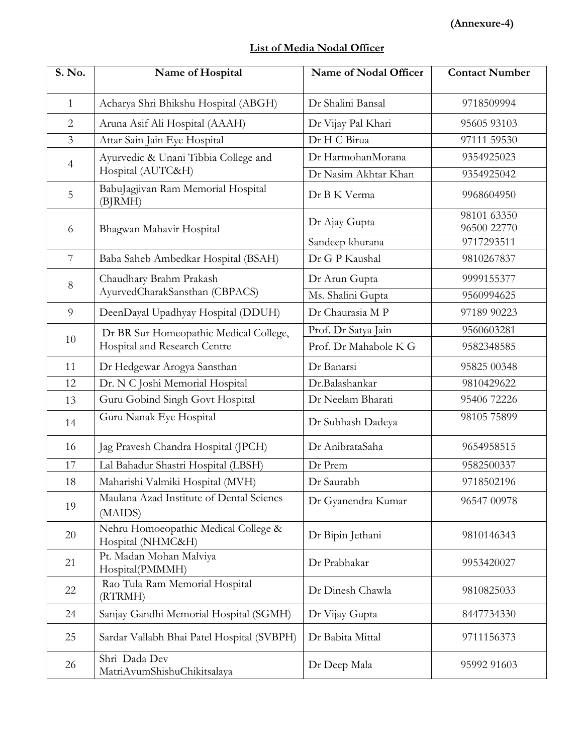|  | List of Media Nodal Officer |  |
|--|-----------------------------|--|
|  |                             |  |

| S. No.         | Name of Hospital                                          | Name of Nodal Officer | <b>Contact Number</b>      |
|----------------|-----------------------------------------------------------|-----------------------|----------------------------|
| $\mathbf{1}$   | Acharya Shri Bhikshu Hospital (ABGH)                      | Dr Shalini Bansal     | 9718509994                 |
| $\overline{2}$ | Aruna Asif Ali Hospital (AAAH)                            | Dr Vijay Pal Khari    | 95605 93103                |
| $\overline{3}$ | Attar Sain Jain Eye Hospital                              | Dr H C Birua          | 97111 59530                |
|                | Ayurvedic & Unani Tibbia College and                      | Dr HarmohanMorana     | 9354925023                 |
| 4              | Hospital (AUTC&H)                                         | Dr Nasim Akhtar Khan  | 9354925042                 |
| 5              | BabuJagjivan Ram Memorial Hospital<br>(BJRMH)             | Dr B K Verma          | 9968604950                 |
| 6              | Bhagwan Mahavir Hospital                                  | Dr Ajay Gupta         | 98101 63350<br>96500 22770 |
|                |                                                           | Sandeep khurana       | 9717293511                 |
| $7\phantom{.}$ | Baba Saheb Ambedkar Hospital (BSAH)                       | Dr G P Kaushal        | 9810267837                 |
| 8              | Chaudhary Brahm Prakash                                   | Dr Arun Gupta         | 9999155377                 |
|                | AyurvedCharakSansthan (CBPACS)                            | Ms. Shalini Gupta     | 9560994625                 |
| 9              | DeenDayal Upadhyay Hospital (DDUH)                        | Dr Chaurasia M P      | 97189 90223                |
|                | Dr BR Sur Homeopathic Medical College,                    | Prof. Dr Satya Jain   | 9560603281                 |
| 10             | Hospital and Research Centre                              | Prof. Dr Mahabole K G | 9582348585                 |
| 11             | Dr Hedgewar Arogya Sansthan                               | Dr Banarsi            | 95825 00348                |
| 12             | Dr. N C Joshi Memorial Hospital                           | Dr.Balashankar        | 9810429622                 |
| 13             | Guru Gobind Singh Govt Hospital                           | Dr Neelam Bharati     | 95406 72226                |
| 14             | Guru Nanak Eye Hospital                                   | Dr Subhash Dadeya     | 98105 75899                |
| 16             | Jag Pravesh Chandra Hospital (JPCH)                       | Dr AnibrataSaha       | 9654958515                 |
| 17             | Lal Bahadur Shastri Hospital (LBSH)                       | Dr Prem               | 9582500337                 |
| 18             | Maharishi Valmiki Hospital (MVH)                          | Dr Saurabh            | 9718502196                 |
| 19             | Maulana Azad Institute of Dental Sciencs<br>(MAIDS)       | Dr Gyanendra Kumar    | 96547 00978                |
| 20             | Nehru Homoeopathic Medical College &<br>Hospital (NHMC&H) | Dr Bipin Jethani      | 9810146343                 |
| 21             | Pt. Madan Mohan Malviya<br>Hospital(PMMMH)                | Dr Prabhakar          | 9953420027                 |
| 22             | Rao Tula Ram Memorial Hospital<br>(RTRMH)                 | Dr Dinesh Chawla      | 9810825033                 |
| 24             | Sanjay Gandhi Memorial Hospital (SGMH)                    | Dr Vijay Gupta        | 8447734330                 |
| 25             | Sardar Vallabh Bhai Patel Hospital (SVBPH)                | Dr Babita Mittal      | 9711156373                 |
| 26             | Shri Dada Dev<br>MatriAvumShishuChikitsalaya              | Dr Deep Mala          | 95992 91603                |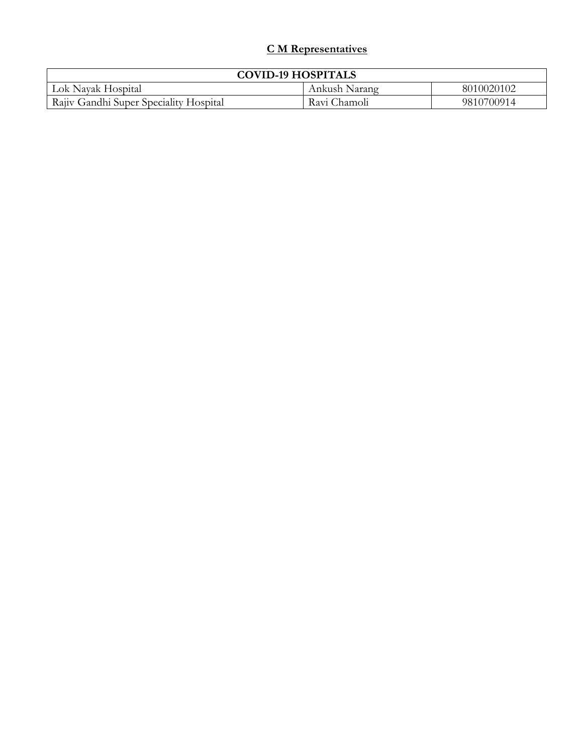## **C M Representatives**

| <b>COVID-19 HOSPITALS</b>              |               |            |  |
|----------------------------------------|---------------|------------|--|
| Lok Navak Hospital                     | Ankush Narang | 8010020102 |  |
| Rajiv Gandhi Super Speciality Hospital | Ravi Chamoli  | 9810700914 |  |